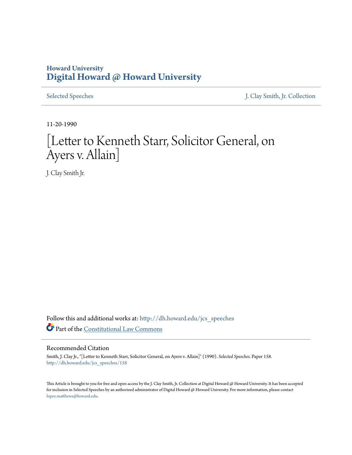## **Howard University [Digital Howard @ Howard University](http://dh.howard.edu?utm_source=dh.howard.edu%2Fjcs_speeches%2F158&utm_medium=PDF&utm_campaign=PDFCoverPages)**

[Selected Speeches](http://dh.howard.edu/jcs_speeches?utm_source=dh.howard.edu%2Fjcs_speeches%2F158&utm_medium=PDF&utm_campaign=PDFCoverPages) [J. Clay Smith, Jr. Collection](http://dh.howard.edu/jcsmith?utm_source=dh.howard.edu%2Fjcs_speeches%2F158&utm_medium=PDF&utm_campaign=PDFCoverPages)

11-20-1990

## [Letter to Kenneth Starr, Solicitor General, on Ayers v. Allain]

J. Clay Smith Jr.

Follow this and additional works at: [http://dh.howard.edu/jcs\\_speeches](http://dh.howard.edu/jcs_speeches?utm_source=dh.howard.edu%2Fjcs_speeches%2F158&utm_medium=PDF&utm_campaign=PDFCoverPages) Part of the [Constitutional Law Commons](http://network.bepress.com/hgg/discipline/589?utm_source=dh.howard.edu%2Fjcs_speeches%2F158&utm_medium=PDF&utm_campaign=PDFCoverPages)

## Recommended Citation

Smith, J. Clay Jr., "[Letter to Kenneth Starr, Solicitor General, on Ayers v. Allain]" (1990). *Selected Speeches.* Paper 158. [http://dh.howard.edu/jcs\\_speeches/158](http://dh.howard.edu/jcs_speeches/158?utm_source=dh.howard.edu%2Fjcs_speeches%2F158&utm_medium=PDF&utm_campaign=PDFCoverPages)

This Article is brought to you for free and open access by the J. Clay Smith, Jr. Collection at Digital Howard @ Howard University. It has been accepted for inclusion in Selected Speeches by an authorized administrator of Digital Howard @ Howard University. For more information, please contact [lopez.matthews@howard.edu.](mailto:lopez.matthews@howard.edu)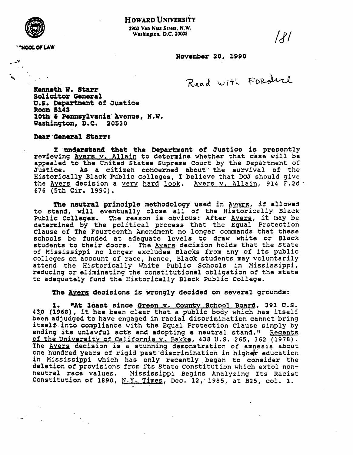

2900 Van Ness Street, N.W. Washington, D.C. 20008

**'HOOL OF LAW** 

 $\mathcal{U}$ 

November 20, 1990

Read with Forduch

Kenneth W. Starr Solicitor General U.S. Department of Justice **Room 5143** 10th & Pennsylvania Avenue, N.W. Washington, D.C. 20530

Dear General Starr:

I understand that the Department of Justice is presently reviewing Avers v. Allain to determine whether that case will be appealed to the United States Supreme Court by the Department of Justice. As a citizen concerned about the survival of the Historically Black Public Colleges, I believe that DOJ should give the Avers decision a very hard look. Avers v. Allain, 914 F.2d . 676 (5th Cir. 1990).

The neutral principle methodology used in Avers, if allowed to stand, will eventually close all of the Historically Black Public Colleges. The reason is obvious: After Avers, it may be<br>determined by the political process that the Equal Protection Clause of The Fourteenth Amendment no longer commands that these schools be funded at adequate levels to draw white or Black students to their doors. The Avers decision holds that the State<br>of Mississippi no longer excludes Blacks from any of its public colleges on account of race, hence, Black students may voluntarily attend the Historically White Public Schools in Mississippi, reducing or eliminating the constitutional obligation of the state to adequately fund the Historically Black Public College.

The Avers decisions is wrongly decided on several grounds:

"At least since Green v. County School Board, 391 U.S.  $\mathbf{1}$ . 430 (1968), it has been clear that a public body which has itself been adjudged to have engaged in racial discrimination cannot bring itself into compliance with the Equal Protection Clause simply by ending its unlawful acts and adopting a neutral stand." Regents of the University of California v. Bakke, 438 U.S. 265, 362 (1978). The Avers decision is a stunning demonstration of amnesia about one hundred years of rigid past discrimination in higher education in Mississippi which has only recently began to consider the deletion of provisions from its State Constitution which extol nonneutral race values. Mississippi Begins Analyzing Its Racist Constitution of 1890,  $N.Y.$  Times, Dec. 12, 1985, at B25, col. 1.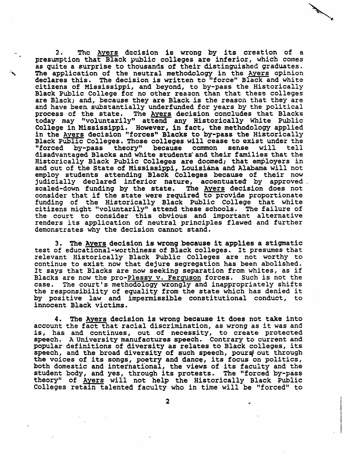2. The Ayers decision is wrong by its creation of a presumption that Black public colleges are inferior, which comes as quite a surprise to thousands of their distinguished graduates.<br>The application of the neutral methodology in the Ayers opinion declares this. The decision is written to "force" Black and white citizens of Mississippi, and beyond, to by-pass the Historically Black Public College for no other rea~on than that these colleges are Black; and, because they are Black is the reason that they are and have been substantially underfunded for years by the political process of the state. The Ayers decision concludes that Blacks today may "voluntarily" attend any Historically White Public<br>College in Mississippi. However, in fact, the methodology applied In the Ayers decision "forces" Blacks to by-pass the Historically<br>Black Public Colleges. Those colleges will cease to exist under the<br>"forced by-pass theory" because common sense will tell by-pass theory" because disadvantaged Blacks and white students· and their families that the Historically Black Public Colleges are doomed; that employers in and out of the state of Mississippi, Louisiana and Alabama will not employ students attending Black Colleges because of their now<br>judicially declared inferior nature, accentuated by approved . scaled-down funding by the state. The Ayers decision does not consider that if the state were required to provide proportionate funding of the Historically Black Public College that white citizens might "voluntarily" attend these schools. The failure of the court to consider this obvious and important alternative renders its application of neutral principles flawed and further demonstrates why the decision cannot stand.

شمير

3. The Ayers decision is wrong because it applies a stigmatic test of educational-worthiness of Black colleges. It preswnes that relevant Historically Black Public Colleges are not worthy to continue to exist now that dejure segregation has been abolished. It says that Blacks are now seeking separation from whites, as if Blacks are now the pro-Plessy v. Ferguson forces. Such *is* not the The court's methodology wrongly and inappropriately shifts the responsibility of equality from the state which has denied it by positive law and impermissible constitutional conduct, to innocent Black victims.

4. The Ayers decision is wrong because it does not take into account the fact that racial discrimination, as wrong as it was and is, has and continues, out of necessity, to create protected speech. A University manufactures speech. Contrary to current and popular definitions of diversity as relates to Black colleges, its the voices of its songs, poetry and dance, its focus on politics, both domestic and international, the views of its faculty and the student body, and yes, through its protests. The "forced by-pass theory" of. Ayers will not help the Historically Black Public Colleges retain talente6 faculty who in time will be "forced" to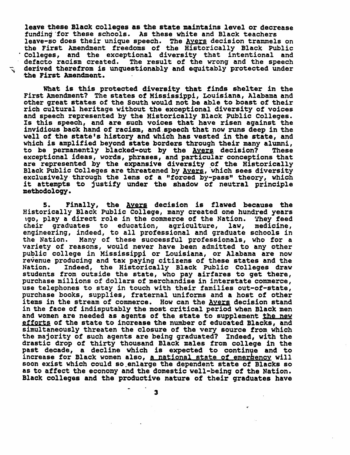leave these Black colleges as the state maintains level or decrease funding 'for these schools. As these white and Black teachers leave-so does their unique speech. The <u>Ayers</u> decision trammels on<br>the First Amendment freedoms of the Historically Black Public Colleges, and the exceptional diversity that intentional and defacto racism created. The result of the wrong and the speech derived therefrom is unquestionably and equitably protected under ·the First Amendment.

What is this protected diversity that finds shelter in the First Amendment? The states of Mississippi, Louisiana, Alabama and other great states of the South would not be able to boast of their ricb cultural heritage without the exceptional diversity of voices and speech represented by the Historically Black PUblic Colleges. Is this speech, and are such voices that have risen against the invidious back hand of racism, and.speech that now runs deep in the well of the state's history and which has vested in the state, and which is amplified beyond state borders through their many alumni,<br>to be permanently blacked-out by the Avers decision? These to be permanently blacked-out by the Avers decision? exceptional ideas, words, phrases, and particular conceptions that are represented by the expansive diversity of the Historically Black Public Colleges are threatened by <u>Ayers</u>, which sees diversity exclusively through the lens of a "forced by-pass" theory, which it attempts to justify under the shadow of neutral principle methodology.

5. Finally, the Ayers decision is flawed because the Historically Black Public College, many created one hundred years 190, play a direct role in the commerce of the Nation. They feed their graduates to education, agriculture, law, medicine, cheir graduates to education, agriculture, engineering, indeed, to all professional and graduate schools in the Nation. Many of these successful professionals, who for a variety of reasons, would never have been admitted to any other public college in Mississippi or Louisiana, or Alabama are now revenue producing and tax paying citizens of these states and the<br>Nation. Indeed, the Historically Black Public Colleges draw Indeed, the Historically Black Public Colleges draw stUdents from outside the state, who pay airfares to get there, purchase millions of dollars of merchandise in interstate commerce, use telephones to stay in touch with their families out-of-state, purchase books, supplies, fraternal uniforms and a host of other items in the stream of commerce. How can the Ayers decision stand in the face of indisputably the most critical period when Black men and women are needed as agents of the state to supplement the new efforts of the state to increase the number of educated Blacks, and simultaneously threaten the closure of the very source from which the majority of such agents are being graduated? Indeed, with the drastic drop of thirty thousand Black males from college in the past decade, a decline which is expected to continue and to increase for Black women also, a national state of emerrency will soon exist which could so enlarge the dependent state of Blacks so as to affect the economy and the domestic well-being of the Nation. Black colleges and the productive natura of their graduates have